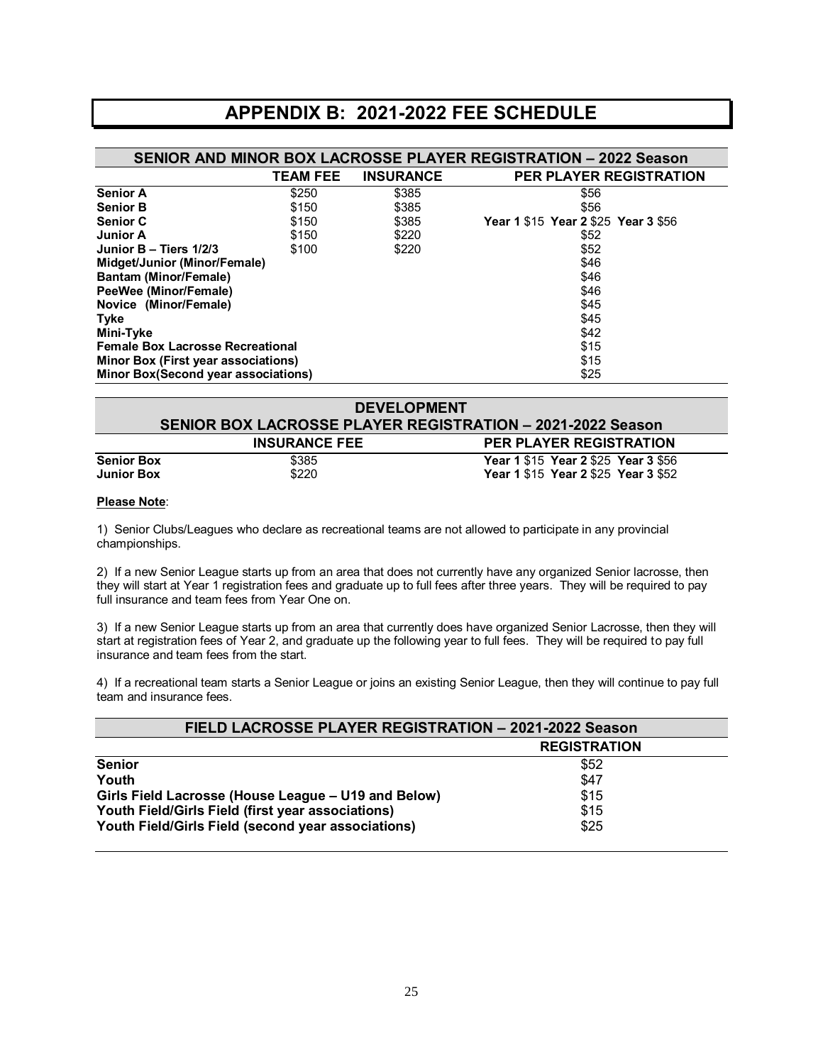## **APPENDIX B: 2021-2022 FEE SCHEDULE**

| <b>SENIOR AND MINOR BOX LACROSSE PLAYER REGISTRATION - 2022 Season</b> |                 |                  |                                     |  |
|------------------------------------------------------------------------|-----------------|------------------|-------------------------------------|--|
|                                                                        | <b>TEAM FEE</b> | <b>INSURANCE</b> | <b>PER PLAYER REGISTRATION</b>      |  |
| <b>Senior A</b>                                                        | \$250           | \$385            | \$56                                |  |
| <b>Senior B</b>                                                        | \$150           | \$385            | \$56                                |  |
| <b>Senior C</b>                                                        | \$150           | \$385            | Year 1 \$15 Year 2 \$25 Year 3 \$56 |  |
| <b>Junior A</b>                                                        | \$150           | \$220            | \$52                                |  |
| Junior $B - Tiers 1/2/3$                                               | \$100           | \$220            | \$52                                |  |
| Midget/Junior (Minor/Female)                                           |                 |                  | \$46                                |  |
| <b>Bantam (Minor/Female)</b>                                           |                 |                  | \$46                                |  |
| PeeWee (Minor/Female)                                                  |                 |                  | \$46                                |  |
| Novice (Minor/Female)                                                  |                 |                  | \$45                                |  |
| Tyke                                                                   |                 |                  | \$45                                |  |
| Mini-Tyke                                                              |                 |                  | \$42                                |  |
| <b>Female Box Lacrosse Recreational</b>                                |                 | \$15             |                                     |  |
| <b>Minor Box (First year associations)</b>                             |                 | \$15             |                                     |  |
| Minor Box(Second year associations)<br>\$25                            |                 |                  |                                     |  |

| <b>DEVELOPMENT</b><br><b>SENIOR BOX LACROSSE PLAYER REGISTRATION - 2021-2022 Season</b> |                      |                                                                            |  |
|-----------------------------------------------------------------------------------------|----------------------|----------------------------------------------------------------------------|--|
|                                                                                         | <b>INSURANCE FEE</b> | <b>PER PLAYER REGISTRATION</b>                                             |  |
| <b>Senior Box</b><br><b>Junior Box</b>                                                  | \$385<br>\$220       | Year 1 \$15 Year 2 \$25 Year 3 \$56<br>Year 1 \$15 Year 2 \$25 Year 3 \$52 |  |

#### **Please Note**:

1) Senior Clubs/Leagues who declare as recreational teams are not allowed to participate in any provincial championships.

2) If a new Senior League starts up from an area that does not currently have any organized Senior lacrosse, then they will start at Year 1 registration fees and graduate up to full fees after three years. They will be required to pay full insurance and team fees from Year One on.

3) If a new Senior League starts up from an area that currently does have organized Senior Lacrosse, then they will start at registration fees of Year 2, and graduate up the following year to full fees. They will be required to pay full insurance and team fees from the start.

4) If a recreational team starts a Senior League or joins an existing Senior League, then they will continue to pay full team and insurance fees.

| FIELD LACROSSE PLAYER REGISTRATION - 2021-2022 Season |                     |  |
|-------------------------------------------------------|---------------------|--|
|                                                       | <b>REGISTRATION</b> |  |
| <b>Senior</b>                                         | \$52                |  |
| Youth                                                 | \$47                |  |
| Girls Field Lacrosse (House League - U19 and Below)   | \$15                |  |
| Youth Field/Girls Field (first year associations)     | \$15                |  |
| Youth Field/Girls Field (second year associations)    | \$25                |  |